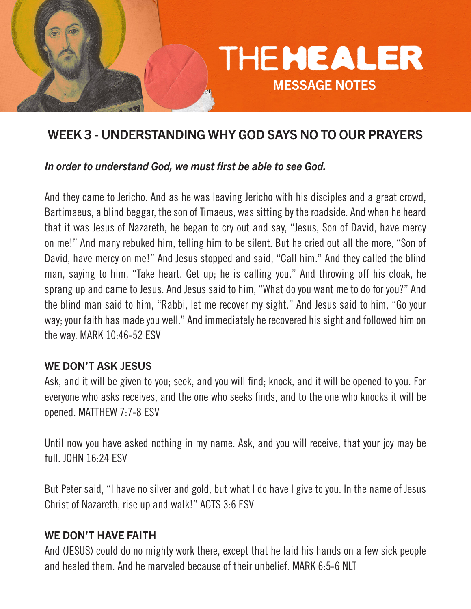

# WEEK 3 - UNDERSTANDING WHY GOD SAYS NO TO OUR PRAYERS

#### *In order to understand God, we must first be able to see God.*

And they came to Jericho. And as he was leaving Jericho with his disciples and a great crowd, Bartimaeus, a blind beggar, the son of Timaeus, was sitting by the roadside. And when he heard that it was Jesus of Nazareth, he began to cry out and say, "Jesus, Son of David, have mercy on me!" And many rebuked him, telling him to be silent. But he cried out all the more, "Son of David, have mercy on me!" And Jesus stopped and said, "Call him." And they called the blind man, saying to him, "Take heart. Get up; he is calling you." And throwing off his cloak, he sprang up and came to Jesus. And Jesus said to him, "What do you want me to do for you?" And the blind man said to him, "Rabbi, let me recover my sight." And Jesus said to him, "Go your way; your faith has made you well." And immediately he recovered his sight and followed him on the way. MARK 10:46-52 ESV

### WE DON'T ASK JESUS

Ask, and it will be given to you; seek, and you will find; knock, and it will be opened to you. For everyone who asks receives, and the one who seeks finds, and to the one who knocks it will be opened. MATTHEW 7:7-8 ESV

Until now you have asked nothing in my name. Ask, and you will receive, that your joy may be full. JOHN 16:24 ESV

But Peter said, "I have no silver and gold, but what I do have I give to you. In the name of Jesus Christ of Nazareth, rise up and walk!" ACTS 3:6 ESV

#### WE DON'T HAVE FAITH

And (JESUS) could do no mighty work there, except that he laid his hands on a few sick people and healed them. And he marveled because of their unbelief. MARK 6:5-6 NLT